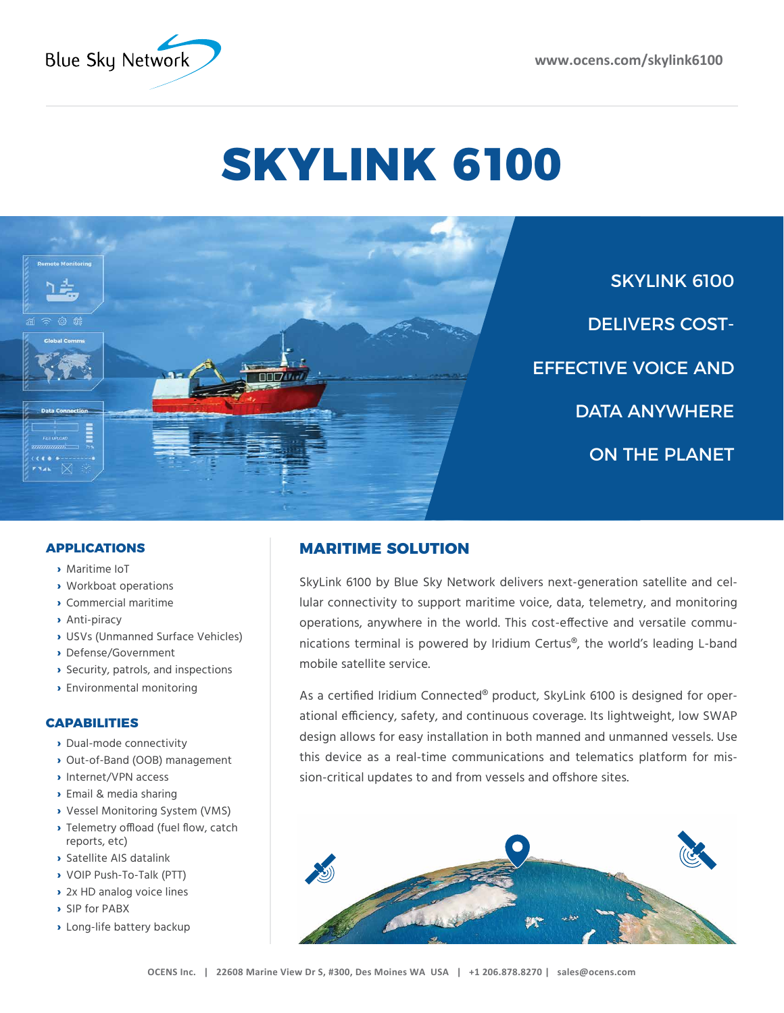

# **SKYLINK 6100**



SKYLINK 6100 DELIVERS COST-EFFECTIVE VOICE AND DATA ANYWHERE ON THE PLANET

### **APPLICATIONS**

- **›** Maritime IoT
- **›** Workboat operations
- **›** Commercial maritime
- **›** Anti-piracy
- **›** USVs (Unmanned Surface Vehicles)
- **›** Defense/Government
- **›** Security, patrols, and inspections
- **›** Environmental monitoring

#### **CAPABILITIES**

- **›** Dual-mode connectivity
- **›** Out-of-Band (OOB) management
- **›** Internet/VPN access
- **›** Email & media sharing
- **›** Vessel Monitoring System (VMS)
- **›** Telemetry offload (fuel flow, catch reports, etc)
- **›** Satellite AIS datalink
- **›** VOIP Push-To-Talk (PTT)
- **›** 2x HD analog voice lines
- **›** SIP for PABX
- **›** Long-life battery backup

# **MARITIME SOLUTION**

SkyLink 6100 by Blue Sky Network delivers next-generation satellite and cellular connectivity to support maritime voice, data, telemetry, and monitoring operations, anywhere in the world. This cost-effective and versatile communications terminal is powered by Iridium Certus®, the world's leading L-band mobile satellite service.

As a certified Iridium Connected® product, SkyLink 6100 is designed for operational efficiency, safety, and continuous coverage. Its lightweight, low SWAP design allows for easy installation in both manned and unmanned vessels. Use this device as a real-time communications and telematics platform for mission-critical updates to and from vessels and offshore sites.